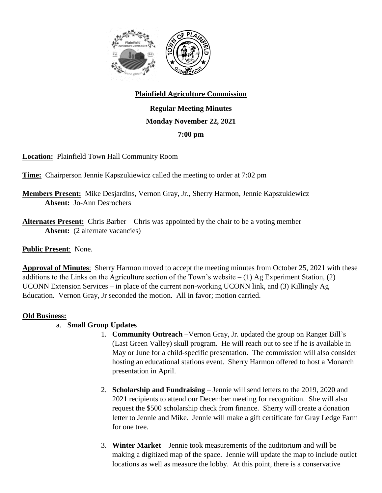

## **Plainfield Agriculture Commission**

**Regular Meeting Minutes Monday November 22, 2021 7:00 pm**

**Location:** Plainfield Town Hall Community Room

**Time:** Chairperson Jennie Kapszukiewicz called the meeting to order at 7:02 pm

- **Members Present:** Mike Desjardins, Vernon Gray, Jr., Sherry Harmon, Jennie Kapszukiewicz **Absent:** Jo-Ann Desrochers
- **Alternates Present:** Chris Barber Chris was appointed by the chair to be a voting member Absent: (2 alternate vacancies)

## **Public Present**: None.

**Approval of Minutes**: Sherry Harmon moved to accept the meeting minutes from October 25, 2021 with these additions to the Links on the Agriculture section of the Town's website  $- (1)$  Ag Experiment Station, (2) UCONN Extension Services – in place of the current non-working UCONN link, and (3) Killingly Ag Education. Vernon Gray, Jr seconded the motion. All in favor; motion carried.

## **Old Business:**

- a. **Small Group Updates**
	- 1. **Community Outreach** –Vernon Gray, Jr. updated the group on Ranger Bill's (Last Green Valley) skull program. He will reach out to see if he is available in May or June for a child-specific presentation. The commission will also consider hosting an educational stations event. Sherry Harmon offered to host a Monarch presentation in April.
	- 2. **Scholarship and Fundraising** Jennie will send letters to the 2019, 2020 and 2021 recipients to attend our December meeting for recognition. She will also request the \$500 scholarship check from finance. Sherry will create a donation letter to Jennie and Mike. Jennie will make a gift certificate for Gray Ledge Farm for one tree.
	- 3. **Winter Market** Jennie took measurements of the auditorium and will be making a digitized map of the space. Jennie will update the map to include outlet locations as well as measure the lobby. At this point, there is a conservative